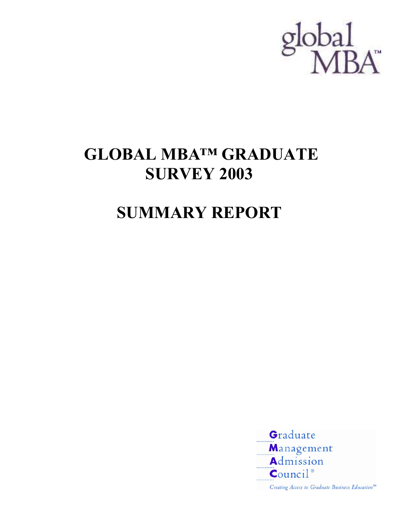

## **GLOBAL MBA™ GRADUATE SURVEY 2003**

# **SUMMARY REPORT**



Creating Access to Graduate Business Education<sup>500</sup>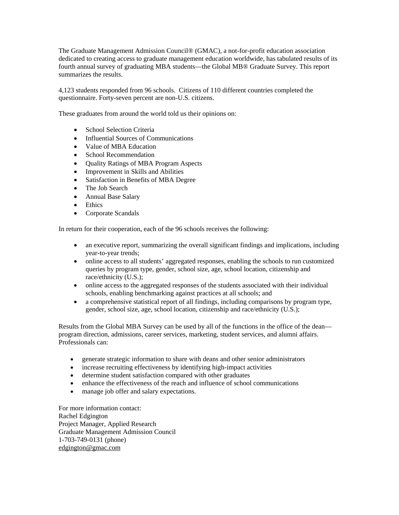The Graduate Management Admission Council® (GMAC), a not-for-profit education association dedicated to creating access to graduate management education worldwide, has tabulated results of its fourth annual survey of graduating MBA students—the Global MB® Graduate Survey. This report summarizes the results.

4,123 students responded from 96 schools. Citizens of 110 different countries completed the questionnaire. Forty-seven percent are non-U.S. citizens.

These graduates from around the world told us their opinions on:

- School Selection Criteria
- Influential Sources of Communications
- Value of MBA Education
- School Recommendation
- Quality Ratings of MBA Program Aspects
- Improvement in Skills and Abilities
- Satisfaction in Benefits of MBA Degree
- The Job Search
- Annual Base Salary
- Ethics
- Corporate Scandals

In return for their cooperation, each of the 96 schools receives the following:

- an executive report, summarizing the overall significant findings and implications, including year-to-year trends;
- online access to all students' aggregated responses, enabling the schools to run customized queries by program type, gender, school size, age, school location, citizenship and race/ethnicity (U.S.);
- online access to the aggregated responses of the students associated with their individual schools, enabling benchmarking against practices at all schools; and
- a comprehensive statistical report of all findings, including comparisons by program type, gender, school size, age, school location, citizenship and race/ethnicity (U.S.);

Results from the Global MBA Survey can be used by all of the functions in the office of the dean program direction, admissions, career services, marketing, student services, and alumni affairs. Professionals can:

- generate strategic information to share with deans and other senior administrators
- increase recruiting effectiveness by identifying high-impact activities
- determine student satisfaction compared with other graduates
- enhance the effectiveness of the reach and influence of school communications
- manage job offer and salary expectations.

For more information contact: Rachel Edgington Project Manager, Applied Research Graduate Management Admission Council 1-703-749-0131 (phone) [edgington@gmac.com](mailto:Edgington@gmac.com)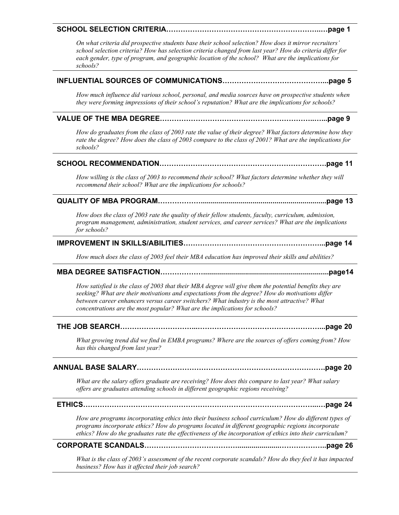#### **SCHOOL SELECTION CRITERIA………………………………………………………..…page 1**

*On what criteria did prospective students base their school selection? How does it mirror recruiters' school selection criteria? How has selection criteria changed from last year? How do criteria differ for each gender, type of program, and geographic location of the school? What are the implications for schools?* 

#### **INFLUENTIAL SOURCES OF COMMUNICATIONS……………………………………...page 5**

*How much influence did various school, personal, and media sources have on prospective students when they were forming impressions of their school's reputation? What are the implications for schools?* 

#### **VALUE OF THE MBA DEGREE………………………………………………………..…...page 9**

*How do graduates from the class of 2003 rate the value of their degree? What factors determine how they rate the degree? How does the class of 2003 compare to the class of 2001? What are the implications for schools?* 

#### **SCHOOL RECOMMENDATION…………………………………………………………….page 11**

*How willing is the class of 2003 to recommend their school? What factors determine whether they will recommend their school? What are the implications for schools?* 

#### **QUALITY OF MBA PROGRAM………………...............................................................page 13**

*How does the class of 2003 rate the quality of their fellow students, faculty, curriculum, admission, program management, administration, student services, and career services? What are the implications for schools?* 

#### **IMPROVEMENT IN SKILLS/ABILITIES…………………………………………………...page 14**

*How much does the class of 2003 feel their MBA education has improved their skills and abilities?* 

#### **MBA DEGREE SATISFACTION………………...............................................................page14**

*How satisfied is the class of 2003 that their MBA degree will give them the potential benefits they are seeking? What are their motivations and expectations from the degree? How do motivations differ between career enhancers versus career switchers? What industry is the most attractive? What concentrations are the most popular? What are the implications for schools?* 

#### **THE JOB SEARCH…………………………...……………………………………………...page 20**

*What growing trend did we find in EMBA programs? Where are the sources of offers coming from? How has this changed from last year?* 

#### **ANNUAL BASE SALARY…………………………………………………………………….page 20**

*What are the salary offers graduate are receiving? How does this compare to last year? What salary offers are graduates attending schools in different geographic regions receiving?* 

#### **ETHICS……………………………………………………………………………………...…page 24**

*How are programs incorporating ethics into their business school curriculum? How do different types of programs incorporate ethics? How do programs located in different geographic regions incorporate ethics? How do the graduates rate the effectiveness of the incorporation of ethics into their curriculum?* 

#### **CORPORATE SCANDALS………………………………….....................………………..page 26**

*What is the class of 2003's assessment of the recent corporate scandals? How do they feel it has impacted business? How has it affected their job search?*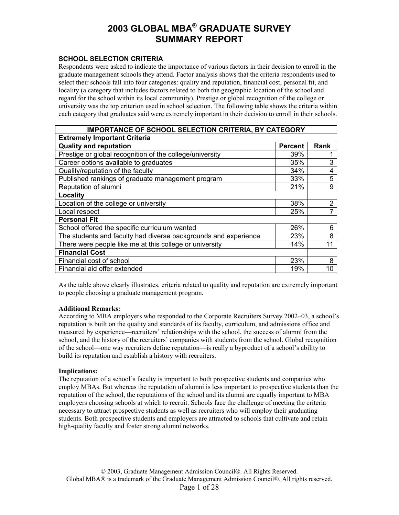#### **SCHOOL SELECTION CRITERIA**

Respondents were asked to indicate the importance of various factors in their decision to enroll in the graduate management schools they attend. Factor analysis shows that the criteria respondents used to select their schools fall into four categories: quality and reputation, financial cost, personal fit, and locality (a category that includes factors related to both the geographic location of the school and regard for the school within its local community). Prestige or global recognition of the college or university was the top criterion used in school selection. The following table shows the criteria within each category that graduates said were extremely important in their decision to enroll in their schools.

| <b>IMPORTANCE OF SCHOOL SELECTION CRITERIA, BY CATEGORY</b>     |                |             |
|-----------------------------------------------------------------|----------------|-------------|
| <b>Extremely Important Criteria</b>                             |                |             |
| <b>Quality and reputation</b>                                   | <b>Percent</b> | <b>Rank</b> |
| Prestige or global recognition of the college/university        | 39%            |             |
| Career options available to graduates                           | 35%            | 3           |
| Quality/reputation of the faculty                               | 34%            | 4           |
| Published rankings of graduate management program               | 33%            | 5           |
| Reputation of alumni                                            | 21%            | 9           |
| Locality                                                        |                |             |
| Location of the college or university                           | 38%            | 2           |
| Local respect                                                   | 25%            |             |
| <b>Personal Fit</b>                                             |                |             |
| School offered the specific curriculum wanted                   | 26%            | 6           |
| The students and faculty had diverse backgrounds and experience | 23%            | 8           |
| There were people like me at this college or university         | 14%            | 11          |
| <b>Financial Cost</b>                                           |                |             |
| Financial cost of school                                        | 23%            | 8           |
| Financial aid offer extended                                    | 19%            | 10          |

As the table above clearly illustrates, criteria related to quality and reputation are extremely important to people choosing a graduate management program.

#### **Additional Remarks:**

According to MBA employers who responded to the Corporate Recruiters Survey 2002–03, a school's reputation is built on the quality and standards of its faculty, curriculum, and admissions office and measured by experience—recruiters' relationships with the school, the success of alumni from the school, and the history of the recruiters' companies with students from the school. Global recognition of the school—one way recruiters define reputation—is really a byproduct of a school's ability to build its reputation and establish a history with recruiters.

#### **Implications:**

The reputation of a school's faculty is important to both prospective students and companies who employ MBAs. But whereas the reputation of alumni is less important to prospective students than the reputation of the school, the reputations of the school and its alumni are equally important to MBA employers choosing schools at which to recruit. Schools face the challenge of meeting the criteria necessary to attract prospective students as well as recruiters who will employ their graduating students. Both prospective students and employers are attracted to schools that cultivate and retain high-quality faculty and foster strong alumni networks.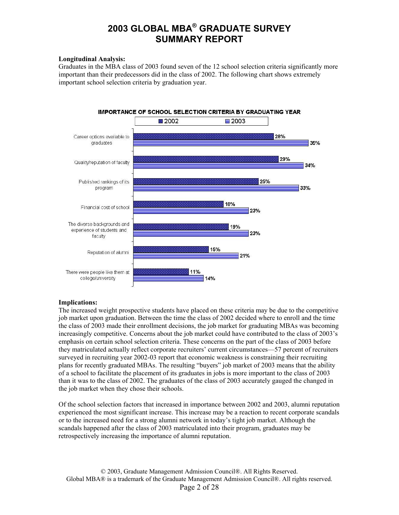#### **Longitudinal Analysis:**

Graduates in the MBA class of 2003 found seven of the 12 school selection criteria significantly more important than their predecessors did in the class of 2002. The following chart shows extremely important school selection criteria by graduation year.



#### **Implications:**

The increased weight prospective students have placed on these criteria may be due to the competitive job market upon graduation. Between the time the class of 2002 decided where to enroll and the time the class of 2003 made their enrollment decisions, the job market for graduating MBAs was becoming increasingly competitive. Concerns about the job market could have contributed to the class of 2003's emphasis on certain school selection criteria. These concerns on the part of the class of 2003 before they matriculated actually reflect corporate recruiters' current circumstances—57 percent of recruiters surveyed in recruiting year 2002-03 report that economic weakness is constraining their recruiting plans for recently graduated MBAs. The resulting "buyers" job market of 2003 means that the ability of a school to facilitate the placement of its graduates in jobs is more important to the class of 2003 than it was to the class of 2002. The graduates of the class of 2003 accurately gauged the changed in the job market when they chose their schools.

Of the school selection factors that increased in importance between 2002 and 2003, alumni reputation experienced the most significant increase. This increase may be a reaction to recent corporate scandals or to the increased need for a strong alumni network in today's tight job market. Although the scandals happened after the class of 2003 matriculated into their program, graduates may be retrospectively increasing the importance of alumni reputation.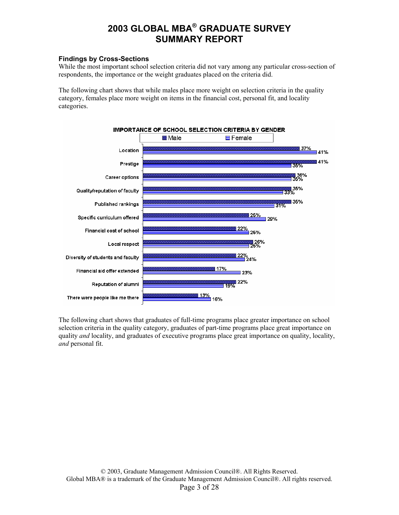#### **Findings by Cross-Sections**

While the most important school selection criteria did not vary among any particular cross-section of respondents, the importance or the weight graduates placed on the criteria did.

The following chart shows that while males place more weight on selection criteria in the quality category, females place more weight on items in the financial cost, personal fit, and locality categories.



The following chart shows that graduates of full-time programs place greater importance on school selection criteria in the quality category, graduates of part-time programs place great importance on quality *and* locality, and graduates of executive programs place great importance on quality, locality, *and* personal fit.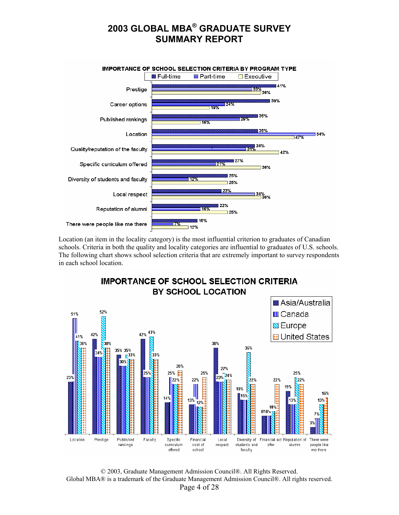

Location (an item in the locality category) is the most influential criterion to graduates of Canadian schools. Criteria in both the quality and locality categories are influential to graduates of U.S. schools. The following chart shows school selection criteria that are extremely important to survey respondents in each school location.



© 2003, Graduate Management Admission Council®. All Rights Reserved. Global MBA® is a trademark of the Graduate Management Admission Council®. All rights reserved. Page 4 of 28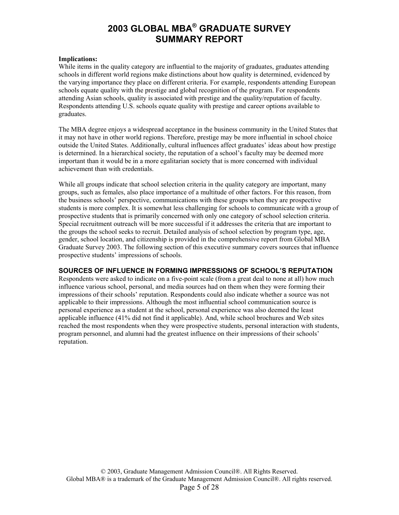#### **Implications:**

While items in the quality category are influential to the majority of graduates, graduates attending schools in different world regions make distinctions about how quality is determined, evidenced by the varying importance they place on different criteria. For example, respondents attending European schools equate quality with the prestige and global recognition of the program. For respondents attending Asian schools, quality is associated with prestige and the quality/reputation of faculty. Respondents attending U.S. schools equate quality with prestige and career options available to graduates.

The MBA degree enjoys a widespread acceptance in the business community in the United States that it may not have in other world regions. Therefore, prestige may be more influential in school choice outside the United States. Additionally, cultural influences affect graduates' ideas about how prestige is determined. In a hierarchical society, the reputation of a school's faculty may be deemed more important than it would be in a more egalitarian society that is more concerned with individual achievement than with credentials.

While all groups indicate that school selection criteria in the quality category are important, many groups, such as females, also place importance of a multitude of other factors. For this reason, from the business schools' perspective, communications with these groups when they are prospective students is more complex. It is somewhat less challenging for schools to communicate with a group of prospective students that is primarily concerned with only one category of school selection criteria. Special recruitment outreach will be more successful if it addresses the criteria that are important to the groups the school seeks to recruit. Detailed analysis of school selection by program type, age, gender, school location, and citizenship is provided in the comprehensive report from Global MBA Graduate Survey 2003. The following section of this executive summary covers sources that influence prospective students' impressions of schools.

#### **SOURCES OF INFLUENCE IN FORMING IMPRESSIONS OF SCHOOL'S REPUTATION**

Respondents were asked to indicate on a five-point scale (from a great deal to none at all) how much influence various school, personal, and media sources had on them when they were forming their impressions of their schools' reputation. Respondents could also indicate whether a source was not applicable to their impressions. Although the most influential school communication source is personal experience as a student at the school, personal experience was also deemed the least applicable influence (41% did not find it applicable). And, while school brochures and Web sites reached the most respondents when they were prospective students, personal interaction with students, program personnel, and alumni had the greatest influence on their impressions of their schools' reputation.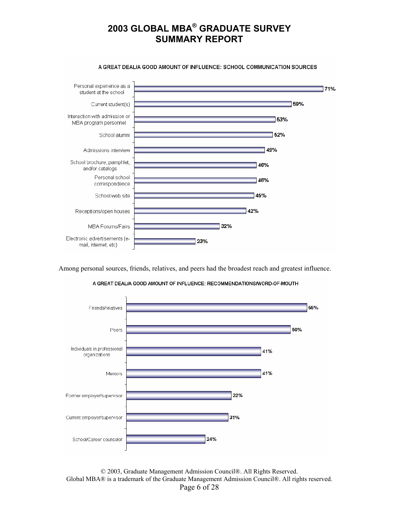

Among personal sources, friends, relatives, and peers had the broadest reach and greatest influence.





© 2003, Graduate Management Admission Council®. All Rights Reserved. Global MBA® is a trademark of the Graduate Management Admission Council®. All rights reserved. Page 6 of 28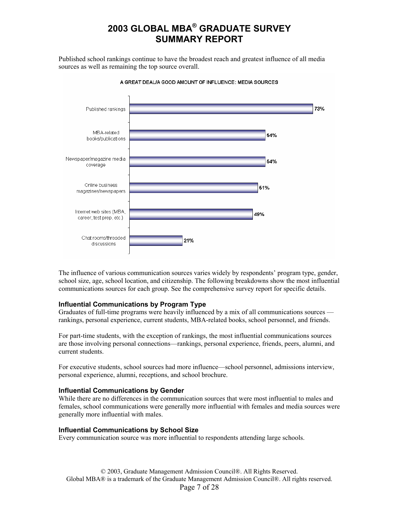Published school rankings continue to have the broadest reach and greatest influence of all media sources as well as remaining the top source overall.



A GREAT DEAL/A GOOD AMOUNT OF INFLUENCE: MEDIA SOURCES

The influence of various communication sources varies widely by respondents' program type, gender, school size, age, school location, and citizenship. The following breakdowns show the most influential communications sources for each group. See the comprehensive survey report for specific details.

#### **Influential Communications by Program Type**

Graduates of full-time programs were heavily influenced by a mix of all communications sources rankings, personal experience, current students, MBA-related books, school personnel, and friends.

For part-time students, with the exception of rankings, the most influential communications sources are those involving personal connections—rankings, personal experience, friends, peers, alumni, and current students.

For executive students, school sources had more influence—school personnel, admissions interview, personal experience, alumni, receptions, and school brochure.

#### **Influential Communications by Gender**

While there are no differences in the communication sources that were most influential to males and females, school communications were generally more influential with females and media sources were generally more influential with males.

#### **Influential Communications by School Size**

Every communication source was more influential to respondents attending large schools.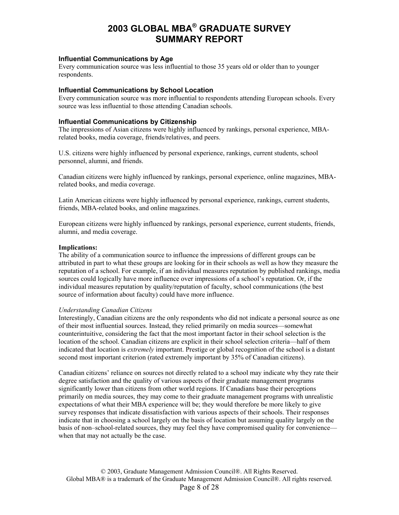#### **Influential Communications by Age**

Every communication source was less influential to those 35 years old or older than to younger respondents.

#### **Influential Communications by School Location**

Every communication source was more influential to respondents attending European schools. Every source was less influential to those attending Canadian schools.

#### **Influential Communications by Citizenship**

The impressions of Asian citizens were highly influenced by rankings, personal experience, MBArelated books, media coverage, friends/relatives, and peers.

U.S. citizens were highly influenced by personal experience, rankings, current students, school personnel, alumni, and friends.

Canadian citizens were highly influenced by rankings, personal experience, online magazines, MBArelated books, and media coverage.

Latin American citizens were highly influenced by personal experience, rankings, current students, friends, MBA-related books, and online magazines.

European citizens were highly influenced by rankings, personal experience, current students, friends, alumni, and media coverage.

#### **Implications:**

The ability of a communication source to influence the impressions of different groups can be attributed in part to what these groups are looking for in their schools as well as how they measure the reputation of a school. For example, if an individual measures reputation by published rankings, media sources could logically have more influence over impressions of a school's reputation. Or, if the individual measures reputation by quality/reputation of faculty, school communications (the best source of information about faculty) could have more influence.

#### *Understanding Canadian Citizens*

Interestingly, Canadian citizens are the only respondents who did not indicate a personal source as one of their most influential sources. Instead, they relied primarily on media sources—somewhat counterintuitive, considering the fact that the most important factor in their school selection is the location of the school. Canadian citizens are explicit in their school selection criteria—half of them indicated that location is *extremely* important. Prestige or global recognition of the school is a distant second most important criterion (rated extremely important by 35% of Canadian citizens).

Canadian citizens' reliance on sources not directly related to a school may indicate why they rate their degree satisfaction and the quality of various aspects of their graduate management programs significantly lower than citizens from other world regions. If Canadians base their perceptions primarily on media sources, they may come to their graduate management programs with unrealistic expectations of what their MBA experience will be; they would therefore be more likely to give survey responses that indicate dissatisfaction with various aspects of their schools. Their responses indicate that in choosing a school largely on the basis of location but assuming quality largely on the basis of non–school-related sources, they may feel they have compromised quality for convenience when that may not actually be the case.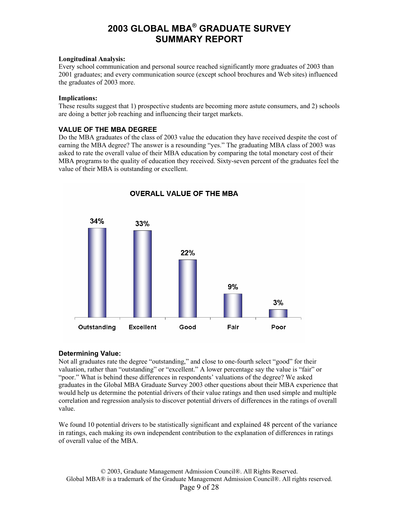#### **Longitudinal Analysis:**

Every school communication and personal source reached significantly more graduates of 2003 than 2001 graduates; and every communication source (except school brochures and Web sites) influenced the graduates of 2003 more.

#### **Implications:**

These results suggest that 1) prospective students are becoming more astute consumers, and 2) schools are doing a better job reaching and influencing their target markets.

#### **VALUE OF THE MBA DEGREE**

Do the MBA graduates of the class of 2003 value the education they have received despite the cost of earning the MBA degree? The answer is a resounding "yes." The graduating MBA class of 2003 was asked to rate the overall value of their MBA education by comparing the total monetary cost of their MBA programs to the quality of education they received. Sixty-seven percent of the graduates feel the value of their MBA is outstanding or excellent.



### **OVERALL VALUE OF THE MBA**

#### **Determining Value:**

Not all graduates rate the degree "outstanding," and close to one-fourth select "good" for their valuation, rather than "outstanding" or "excellent." A lower percentage say the value is "fair" or "poor." What is behind these differences in respondents' valuations of the degree? We asked graduates in the Global MBA Graduate Survey 2003 other questions about their MBA experience that would help us determine the potential drivers of their value ratings and then used simple and multiple correlation and regression analysis to discover potential drivers of differences in the ratings of overall value.

We found 10 potential drivers to be statistically significant and explained 48 percent of the variance in ratings, each making its own independent contribution to the explanation of differences in ratings of overall value of the MBA.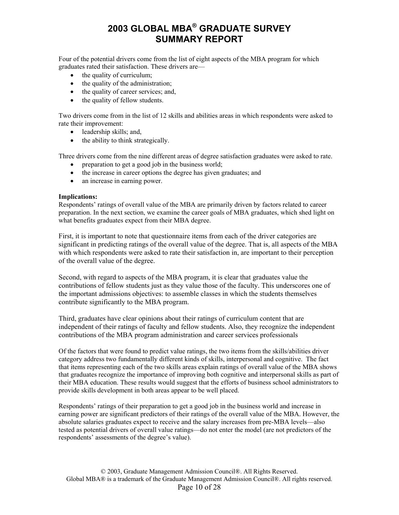Four of the potential drivers come from the list of eight aspects of the MBA program for which graduates rated their satisfaction. These drivers are—

- the quality of curriculum;
- the quality of the administration;
- the quality of career services; and,
- the quality of fellow students.

Two drivers come from in the list of 12 skills and abilities areas in which respondents were asked to rate their improvement:

- leadership skills; and,
- the ability to think strategically.

Three drivers come from the nine different areas of degree satisfaction graduates were asked to rate.

- preparation to get a good job in the business world;
- the increase in career options the degree has given graduates; and
- an increase in earning power.

#### **Implications:**

Respondents' ratings of overall value of the MBA are primarily driven by factors related to career preparation. In the next section, we examine the career goals of MBA graduates, which shed light on what benefits graduates expect from their MBA degree.

First, it is important to note that questionnaire items from each of the driver categories are significant in predicting ratings of the overall value of the degree. That is, all aspects of the MBA with which respondents were asked to rate their satisfaction in, are important to their perception of the overall value of the degree.

Second, with regard to aspects of the MBA program, it is clear that graduates value the contributions of fellow students just as they value those of the faculty. This underscores one of the important admissions objectives: to assemble classes in which the students themselves contribute significantly to the MBA program.

Third, graduates have clear opinions about their ratings of curriculum content that are independent of their ratings of faculty and fellow students. Also, they recognize the independent contributions of the MBA program administration and career services professionals

Of the factors that were found to predict value ratings, the two items from the skills/abilities driver category address two fundamentally different kinds of skills, interpersonal and cognitive. The fact that items representing each of the two skills areas explain ratings of overall value of the MBA shows that graduates recognize the importance of improving both cognitive and interpersonal skills as part of their MBA education. These results would suggest that the efforts of business school administrators to provide skills development in both areas appear to be well placed.

Respondents' ratings of their preparation to get a good job in the business world and increase in earning power are significant predictors of their ratings of the overall value of the MBA. However, the absolute salaries graduates expect to receive and the salary increases from pre-MBA levels—also tested as potential drivers of overall value ratings—do not enter the model (are not predictors of the respondents' assessments of the degree's value).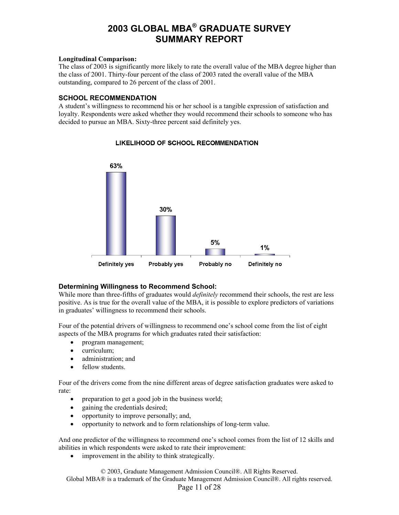#### **Longitudinal Comparison:**

The class of 2003 is significantly more likely to rate the overall value of the MBA degree higher than the class of 2001. Thirty-four percent of the class of 2003 rated the overall value of the MBA outstanding, compared to 26 percent of the class of 2001.

#### **SCHOOL RECOMMENDATION**

A student's willingness to recommend his or her school is a tangible expression of satisfaction and loyalty. Respondents were asked whether they would recommend their schools to someone who has decided to pursue an MBA. Sixty-three percent said definitely yes.



#### LIKELIHOOD OF SCHOOL RECOMMENDATION

#### **Determining Willingness to Recommend School:**

While more than three-fifths of graduates would *definitely* recommend their schools, the rest are less positive. As is true for the overall value of the MBA, it is possible to explore predictors of variations in graduates' willingness to recommend their schools.

Four of the potential drivers of willingness to recommend one's school come from the list of eight aspects of the MBA programs for which graduates rated their satisfaction:

- program management;
- curriculum;
- administration; and
- fellow students.

Four of the drivers come from the nine different areas of degree satisfaction graduates were asked to rate:

- preparation to get a good job in the business world;
- gaining the credentials desired;
- opportunity to improve personally; and,
- opportunity to network and to form relationships of long-term value.

And one predictor of the willingness to recommend one's school comes from the list of 12 skills and abilities in which respondents were asked to rate their improvement:

• improvement in the ability to think strategically.

© 2003, Graduate Management Admission Council®. All Rights Reserved. Global MBA® is a trademark of the Graduate Management Admission Council®. All rights reserved.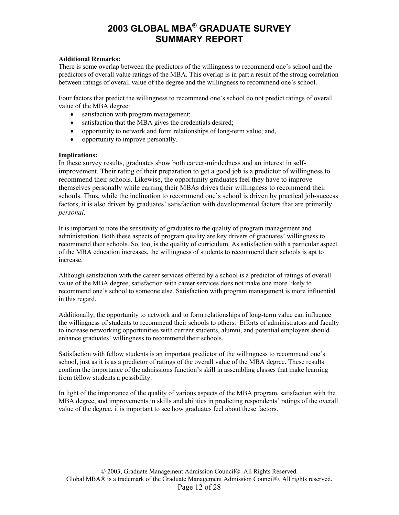#### **Additional Remarks:**

There is some overlap between the predictors of the willingness to recommend one's school and the n predictors of overall value ratings of the MBA. This overlap is in part a result of the strong correlatio between ratings of overall value of the degree and the willingness to recommend one's school.

Four factors that predict the willingness to recommend one's school do not predict ratings of overall value of the MBA degree:

- satisfaction with program management;
- satisfaction that the MBA gives the credentials desired;
- opportunity to network and form relationships of long-term value; and,
- opportunity to improve personally.

#### **mplications: I**

In these survey results, graduates show both career-mindedness and an interest in selfimprovement. Their rating of their preparation to get a good job is a predictor of willingness to themselves personally while earning their MBAs drives their willingness to recommend their schools. Thus, while the inclination to recommend one's school is driven by practical job-success recommend their schools. Likewise, the opportunity graduates feel they have to improve factors, it is also driven by graduates' satisfaction with developmental factors that are primarily *personal*.

It is important to note the sensitivity of graduates to the quality of program management and administration. Both these aspects of program quality are key drivers of graduates' willingness to recommend their schools. So, too, is the quality of curriculum. As satisfaction with a particular aspect of the MBA education increases, the willingness of students to recommend their schools is apt to increase.

Although satisfaction with the career services offered by a school is a predictor of ratings of overall recommend one's school to someone else. Satisfaction with program management is more influential value of the MBA degree, satisfaction with career services does not make one more likely to in this regard.

dditionally, the opportunity to network and to form relationships of long-term value can influence A the willingness of students to recommend their schools to others. Efforts of administrators and faculty to increase networking opportunities with current students, alumni, and potential employers should enhance graduates' willingness to recommend their schools.

Satisfaction with fellow students is an important predictor of the willingness to recommend one's school, just as it is as a predictor of ratings of the overall value of the MBA degree. These results confirm the importance of the admissions function's skill in assembling classes that make learning from fellow students a possibility.

In light of the importance of the quality of various aspects of the MBA program, satisfaction with the MBA degree, and improvements in skills and abilities in predicting respondents' ratings of the overall value of the degree, it is important to see how graduates feel about these factors.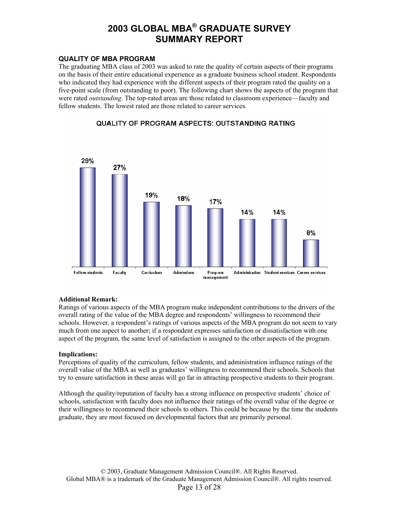#### **QUALITY OF MBA PROGRAM**

The graduating MBA class of 2003 was asked to rate the quality of certain aspects of their programs on the basis of their entire educational experience as a graduate business school student. Respondents who indicated they had experience with the different aspects of their program rated the quality on a five-point scale (from outstanding to poor). The following chart shows the aspects of the program that were rated *outstanding*. The top-rated areas are those related to classroom experience—faculty and fellow students. The lowest rated are those related to career services.

#### QUALITY OF PROGRAM ASPECTS: OUTSTANDING RATING



#### **Additional Remark:**

Ratings of various aspects of the MBA program make independent contributions to the drivers of the overall rating of the value of the MBA degree and respondents' willingness to recommend their schools. However, a respondent's ratings of various aspects of the MBA program do not seem to vary much from one aspect to another; if a respondent expresses satisfaction or dissatisfaction with one aspect of the program, the same level of satisfaction is assigned to the other aspects of the program.

#### **Implications:**

Perceptions of quality of the curriculum, fellow students, and administration influence ratings of the overall value of the MBA as well as graduates' willingness to recommend their schools. Schools that try to ensure satisfaction in these areas will go far in attracting prospective students to their program.

Although the quality/reputation of faculty has a strong influence on prospective students' choice of schools, satisfaction with faculty does not influence their ratings of the overall value of the degree or their willingness to recommend their schools to others. This could be because by the time the students graduate, they are most focused on developmental factors that are primarily personal.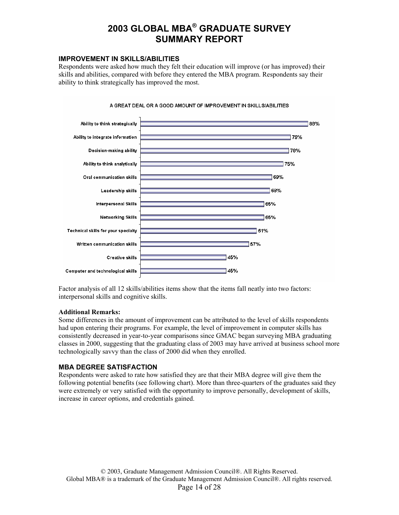#### **IMPROVEMENT IN SKILLS/ABILITIES**

Respondents were asked how much they felt their education will improve (or has improved) their skills and abilities, compared with before they entered the MBA program. Respondents say their ability to think strategically has improved the most.



#### A GREAT DEAL OR A GOOD AMOUNT OF IMPROVEMENT IN SKILLS/ABILITIES

Factor analysis of all 12 skills/abilities items show that the items fall neatly into two factors: interpersonal skills and cognitive skills.

#### **Additional Remarks:**

Some differences in the amount of improvement can be attributed to the level of skills respondents had upon entering their programs. For example, the level of improvement in computer skills has consistently decreased in year-to-year comparisons since GMAC began surveying MBA graduating classes in 2000, suggesting that the graduating class of 2003 may have arrived at business school more technologically savvy than the class of 2000 did when they enrolled.

#### **MBA DEGREE SATISFACTION**

Respondents were asked to rate how satisfied they are that their MBA degree will give them the following potential benefits (see following chart). More than three-quarters of the graduates said they were extremely or very satisfied with the opportunity to improve personally, development of skills, increase in career options, and credentials gained.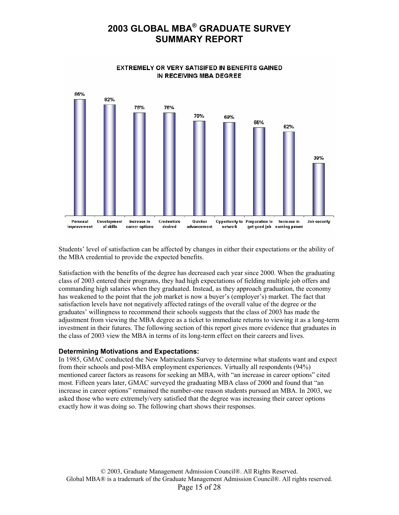

Students' level of satisfaction can be affected by changes in either their expectations or the ability of the MBA credential to provide the expected benefits.

Satisfaction with the benefits of the degree has decreased each year since 2000. When the graduating class of 2003 entered their programs, they had high expectations of fielding multiple job offers and commanding high salaries when they graduated. Instead, as they approach graduation, the economy has weakened to the point that the job market is now a buyer's (employer's) market. The fact that satisfaction levels have not negatively affected ratings of the overall value of the degree or the graduates' willingness to recommend their schools suggests that the class of 2003 has made the adjustment from viewing the MBA degree as a ticket to immediate returns to viewing it as a long-term investment in their futures. The following section of this report gives more evidence that graduates in the class of 2003 view the MBA in terms of its long-term effect on their careers and lives.

#### **Determining Motivations and Expectations:**

In 1985, GMAC conducted the New Matriculants Survey to determine what students want and expect from their schools and post-MBA employment experiences. Virtually all respondents (94%) mentioned career factors as reasons for seeking an MBA, with "an increase in career options" cited most. Fifteen years later, GMAC surveyed the graduating MBA class of 2000 and found that "an increase in career options" remained the number-one reason students pursued an MBA. In 2003, we asked those who were extremely/very satisfied that the degree was increasing their career options exactly how it was doing so. The following chart shows their responses.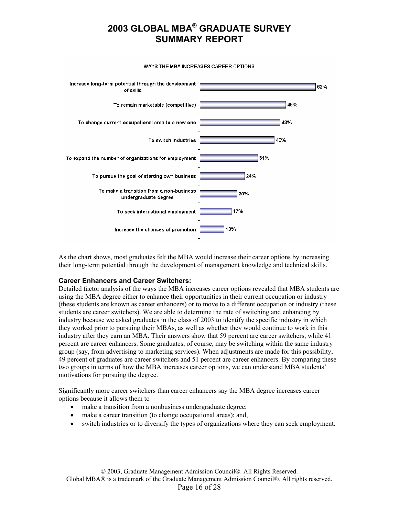

WAYS THE MBA INCREASES CAREER OPTIONS

As the chart shows, most graduates felt the MBA would increase their career options by increasing their long-term potential through the development of management knowledge and technical skills.

#### **Career Enhancers and Career Switchers:**

Detailed factor analysis of the ways the MBA increases career options revealed that MBA students are using the MBA degree either to enhance their opportunities in their current occupation or industry (these students are known as career enhancers) or to move to a different occupation or industry (these students are career switchers). We are able to determine the rate of switching and enhancing by industry because we asked graduates in the class of 2003 to identify the specific industry in which they worked prior to pursuing their MBAs, as well as whether they would continue to work in this industry after they earn an MBA. Their answers show that 59 percent are career switchers, while 41 percent are career enhancers. Some graduates, of course, may be switching within the same industry group (say, from advertising to marketing services). When adjustments are made for this possibility, 49 percent of graduates are career switchers and 51 percent are career enhancers. By comparing these two groups in terms of how the MBA increases career options, we can understand MBA students' motivations for pursuing the degree.

Significantly more career switchers than career enhancers say the MBA degree increases career options because it allows them to—

- make a transition from a nonbusiness undergraduate degree;
- make a career transition (to change occupational areas); and,
- switch industries or to diversify the types of organizations where they can seek employment.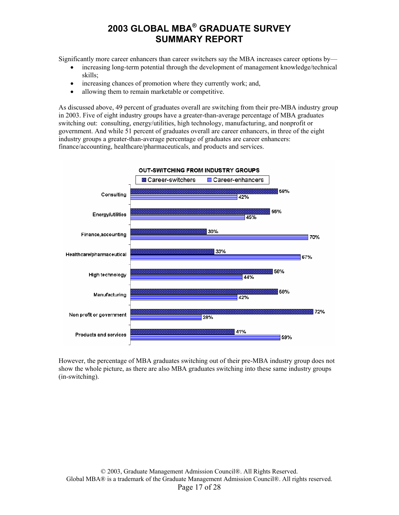Significantly more career enhancers than career switchers say the MBA increases career options by—

- increasing long-term potential through the development of management knowledge/technical skills;
- increasing chances of promotion where they currently work; and,
- allowing them to remain marketable or competitive.

As discussed above, 49 percent of graduates overall are switching from their pre-MBA industry group in 2003. Five of eight industry groups have a greater-than-average percentage of MBA graduates switching out: consulting, energy/utilities, high technology, manufacturing, and nonprofit or government. And while 51 percent of graduates overall are career enhancers, in three of the eight industry groups a greater-than-average percentage of graduates are career enhancers: finance/accounting, healthcare/pharmaceuticals, and products and services.



However, the percentage of MBA graduates switching out of their pre-MBA industry group does not show the whole picture, as there are also MBA graduates switching into these same industry groups (in-switching).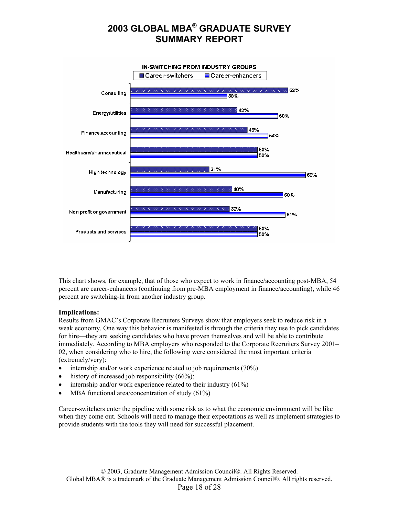

This chart shows, for example, that of those who expect to work in finance/accounting post-MBA, 54 percent are career-enhancers (continuing from pre-MBA employment in finance/accounting), while 46 percent are switching-in from another industry group.

#### **Implications:**

Results from GMAC's Corporate Recruiters Surveys show that employers seek to reduce risk in a weak economy. One way this behavior is manifested is through the criteria they use to pick candidates for hire—they are seeking candidates who have proven themselves and will be able to contribute immediately. According to MBA employers who responded to the Corporate Recruiters Survey 2001– 02, when considering who to hire, the following were considered the most important criteria (extremely/very):

- internship and/or work experience related to job requirements (70%)
- history of increased job responsibility  $(66\%)$ ;
- internship and/or work experience related to their industry  $(61\%)$
- MBA functional area/concentration of study  $(61\%)$

Career-switchers enter the pipeline with some risk as to what the economic environment will be like when they come out. Schools will need to manage their expectations as well as implement strategies to provide students with the tools they will need for successful placement.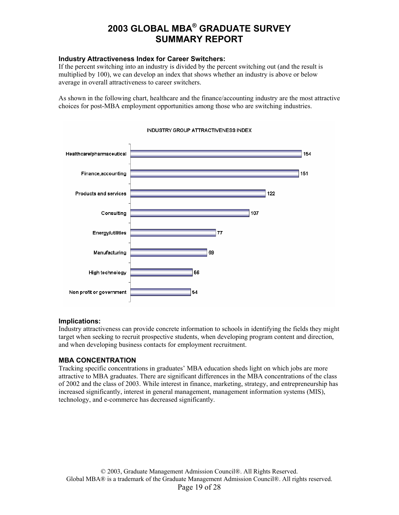#### **Industry Attractiveness Index for Career Switchers:**

If the percent switching into an industry is divided by the percent switching out (and the result is multiplied by 100), we can develop an index that shows whether an industry is above or below average in overall attractiveness to career switchers.

As shown in the following chart, healthcare and the finance/accounting industry are the most attractive choices for post-MBA employment opportunities among those who are switching industries.



#### INDUSTRY GROUP ATTRACTIVENESS INDEX

#### **Implications:**

Industry attractiveness can provide concrete information to schools in identifying the fields they might target when seeking to recruit prospective students, when developing program content and direction, and when developing business contacts for employment recruitment.

#### **MBA CONCENTRATION**

Tracking specific concentrations in graduates' MBA education sheds light on which jobs are more attractive to MBA graduates. There are significant differences in the MBA concentrations of the class of 2002 and the class of 2003. While interest in finance, marketing, strategy, and entrepreneurship has increased significantly, interest in general management, management information systems (MIS), technology, and e-commerce has decreased significantly.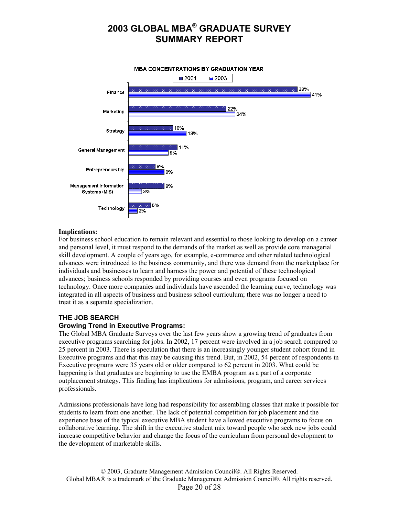

#### **Implications:**

For business school education to remain relevant and essential to those looking to develop on a career and personal level, it must respond to the demands of the market as well as provide core managerial skill development. A couple of years ago, for example, e-commerce and other related technological advances were introduced to the business community, and there was demand from the marketplace for individuals and businesses to learn and harness the power and potential of these technological advances; business schools responded by providing courses and even programs focused on technology. Once more companies and individuals have ascended the learning curve, technology was integrated in all aspects of business and business school curriculum; there was no longer a need to treat it as a separate specialization.

#### **THE JOB SEARCH**

#### **Growing Trend in Executive Programs:**

The Global MBA Graduate Surveys over the last few years show a growing trend of graduates from executive programs searching for jobs. In 2002, 17 percent were involved in a job search compared to 25 percent in 2003. There is speculation that there is an increasingly younger student cohort found in Executive programs and that this may be causing this trend. But, in 2002, 54 percent of respondents in Executive programs were 35 years old or older compared to 62 percent in 2003. What could be happening is that graduates are beginning to use the EMBA program as a part of a corporate outplacement strategy. This finding has implications for admissions, program, and career services professionals.

Admissions professionals have long had responsibility for assembling classes that make it possible for students to learn from one another. The lack of potential competition for job placement and the experience base of the typical executive MBA student have allowed executive programs to focus on collaborative learning. The shift in the executive student mix toward people who seek new jobs could increase competitive behavior and change the focus of the curriculum from personal development to the development of marketable skills.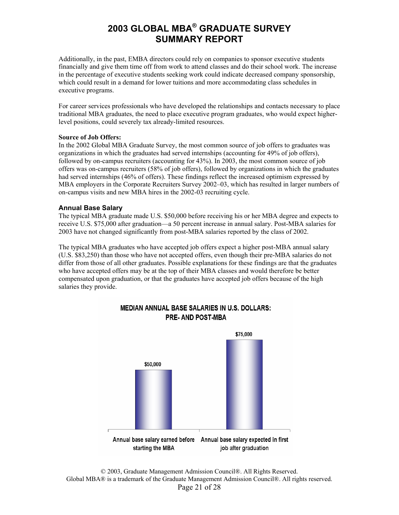Additionally, in the past, EMBA directors could rely on companies to sponsor executive students financially and give them time off from work to attend classes and do their school work. The increase in the percentage of executive students seeking work could indicate decreased company sponsorship, which could result in a demand for lower tuitions and more accommodating class schedules in executive programs.

For career services professionals who have developed the relationships and contacts necessary to place traditional MBA graduates, the need to place executive program graduates, who would expect higherlevel positions, could severely tax already-limited resources.

#### **Source of Job Offers:**

In the 2002 Global MBA Graduate Survey, the most common source of job offers to graduates was organizations in which the graduates had served internships (accounting for 49% of job offers), followed by on-campus recruiters (accounting for 43%). In 2003, the most common source of job offers was on-campus recruiters (58% of job offers), followed by organizations in which the graduates had served internships (46% of offers). These findings reflect the increased optimism expressed by MBA employers in the Corporate Recruiters Survey 2002–03, which has resulted in larger numbers of on-campus visits and new MBA hires in the 2002-03 recruiting cycle.

#### **Annual Base Salary**

The typical MBA graduate made U.S. \$50,000 before receiving his or her MBA degree and expects to receive U.S. \$75,000 after graduation—a 50 percent increase in annual salary. Post-MBA salaries for 2003 have not changed significantly from post-MBA salaries reported by the class of 2002.

The typical MBA graduates who have accepted job offers expect a higher post-MBA annual salary (U.S. \$83,250) than those who have not accepted offers, even though their pre-MBA salaries do not differ from those of all other graduates. Possible explanations for these findings are that the graduates who have accepted offers may be at the top of their MBA classes and would therefore be better compensated upon graduation, or that the graduates have accepted job offers because of the high salaries they provide.



#### **MEDIAN ANNUAL BASE SALARIES IN U.S. DOLLARS: PRE-AND POST-MBA**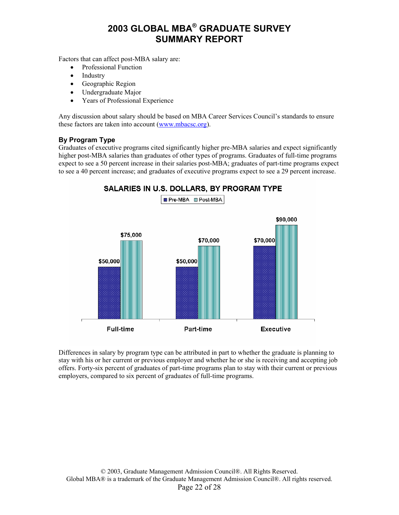Factors that can affect post-MBA salary are:

- Professional Function
- Industry
- Geographic Region
- Undergraduate Major
- Years of Professional Experience

Any discussion about salary should be based on MBA Career Services Council's standards to ensure these factors are taken into account ([www.mbacsc.org](http://www.mbacsc.org/)).

#### **By Program Type**

Graduates of executive programs cited significantly higher pre-MBA salaries and expect significantly higher post-MBA salaries than graduates of other types of programs. Graduates of full-time programs expect to see a 50 percent increase in their salaries post-MBA; graduates of part-time programs expect to see a 40 percent increase; and graduates of executive programs expect to see a 29 percent increase.

#### SALARIES IN U.S. DOLLARS, BY PROGRAM TYPE



Differences in salary by program type can be attributed in part to whether the graduate is planning to stay with his or her current or previous employer and whether he or she is receiving and accepting job offers. Forty-six percent of graduates of part-time programs plan to stay with their current or previous employers, compared to six percent of graduates of full-time programs.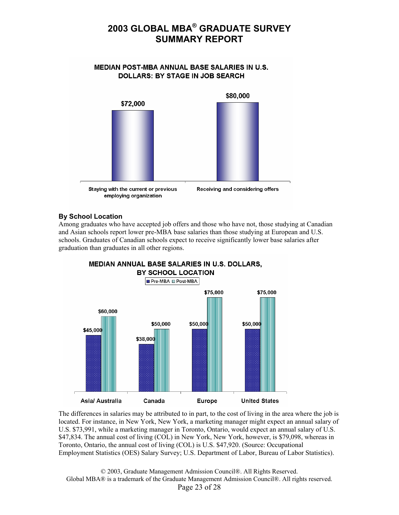#### **MEDIAN POST-MBA ANNUAL BASE SALARIES IN U.S. DOLLARS: BY STAGE IN JOB SEARCH**



#### **By School Location**

Among graduates who have accepted job offers and those who have not, those studying at Canadian and Asian schools report lower pre-MBA base salaries than those studying at European and U.S. schools. Graduates of Canadian schools expect to receive significantly lower base salaries after graduation than graduates in all other regions.



The differences in salaries may be attributed to in part, to the cost of living in the area where the job is located. For instance, in New York, New York, a marketing manager might expect an annual salary of U.S. \$73,991, while a marketing manager in Toronto, Ontario, would expect an annual salary of U.S. \$47,834. The annual cost of living (COL) in New York, New York, however, is \$79,098, whereas in Toronto, Ontario, the annual cost of living (COL) is U.S. \$47,920. (Source: Occupational Employment Statistics (OES) Salary Survey; U.S. Department of Labor, Bureau of Labor Statistics).

© 2003, Graduate Management Admission Council®. All Rights Reserved. Global MBA® is a trademark of the Graduate Management Admission Council®. All rights reserved. Page 23 of 28

## **MEDIAN ANNUAL BASE SALARIES IN U.S. DOLLARS,**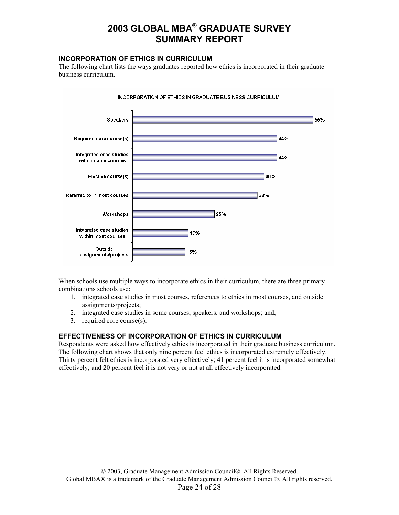#### **INCORPORATION OF ETHICS IN CURRICULUM**

The following chart lists the ways graduates reported how ethics is incorporated in their graduate business curriculum.



INCORPORATION OF ETHICS IN GRADUATE BUSINESS CURRICULUM

When schools use multiple ways to incorporate ethics in their curriculum, there are three primary combinations schools use:

- 1. integrated case studies in most courses, references to ethics in most courses, and outside assignments/projects;
- 2. integrated case studies in some courses, speakers, and workshops; and,
- 3. required core course(s).

#### **EFFECTIVENESS OF INCORPORATION OF ETHICS IN CURRICULUM**

Respondents were asked how effectively ethics is incorporated in their graduate business curriculum. The following chart shows that only nine percent feel ethics is incorporated extremely effectively. Thirty percent felt ethics is incorporated very effectively; 41 percent feel it is incorporated somewhat effectively; and 20 percent feel it is not very or not at all effectively incorporated.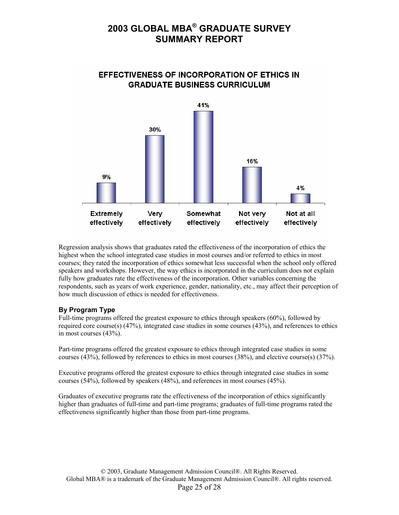

**EFFECTIVENESS OF INCORPORATION OF ETHICS IN GRADUATE BUSINESS CURRICULUM** 

Regression analysis shows that graduates rated the effectiveness of the incorporation of ethics the highest when the school integrated case studies in most courses and/or referred to ethics in most courses; they rated the incorporation of ethics somewhat less successful when the school only offered speakers and workshops. However, the way ethics is incorporated in the curriculum does not explain fully how graduates rate the effectiveness of the incorporation. Other variables concerning the respondents, such as years of work experience, gender, nationality, etc., may affect their perception of how much discussion of ethics is needed for effectiveness.

#### **By Program Type**

Full-time programs offered the greatest exposure to ethics through speakers (60%), followed by required core course(s) (47%), integrated case studies in some courses (43%), and references to ethics in most courses (43%).

Part-time programs offered the greatest exposure to ethics through integrated case studies in some courses (43%), followed by references to ethics in most courses (38%), and elective course(s) (37%).

Executive programs offered the greatest exposure to ethics through integrated case studies in some courses (54%), followed by speakers (48%), and references in most courses (45%).

Graduates of executive programs rate the effectiveness of the incorporation of ethics significantly higher than graduates of full-time and part-time programs; graduates of full-time programs rated the effectiveness significantly higher than those from part-time programs.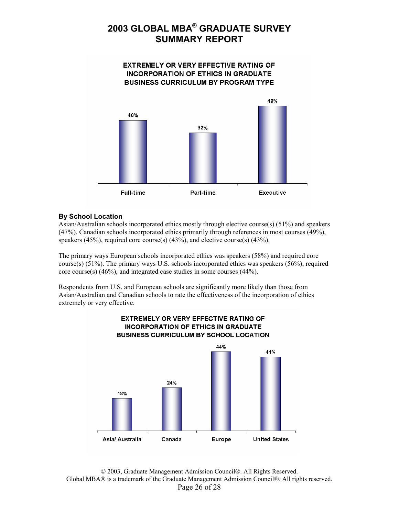

#### **By School Location**

Asian/Australian schools incorporated ethics mostly through elective course(s) (51%) and speakers (47%). Canadian schools incorporated ethics primarily through references in most courses (49%), speakers (45%), required core course(s)  $(43\%)$ , and elective course(s)  $(43\%)$ .

The primary ways European schools incorporated ethics was speakers (58%) and required core course(s) (51%). The primary ways U.S. schools incorporated ethics was speakers (56%), required core course(s) (46%), and integrated case studies in some courses (44%).

Respondents from U.S. and European schools are significantly more likely than those from Asian/Australian and Canadian schools to rate the effectiveness of the incorporation of ethics extremely or very effective.



© 2003, Graduate Management Admission Council®. All Rights Reserved. Global MBA® is a trademark of the Graduate Management Admission Council®. All rights reserved. Page 26 of 28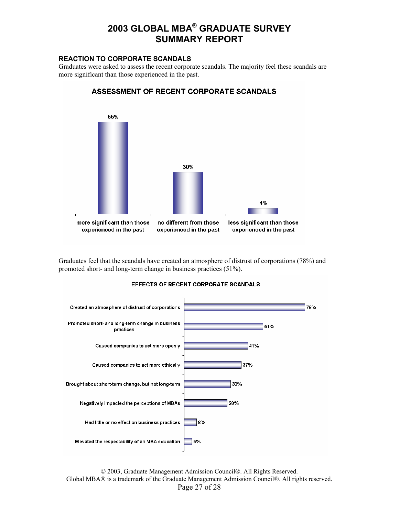#### **REACTION TO CORPORATE SCANDALS**

Graduates were asked to assess the recent corporate scandals. The majority feel these scandals are more significant than those experienced in the past.



ASSESSMENT OF RECENT CORPORATE SCANDALS

Graduates feel that the scandals have created an atmosphere of distrust of corporations (78%) and promoted short- and long-term change in business practices (51%).



#### **EFFECTS OF RECENT CORPORATE SCANDALS**

© 2003, Graduate Management Admission Council®. All Rights Reserved. Global MBA® is a trademark of the Graduate Management Admission Council®. All rights reserved. Page 27 of 28